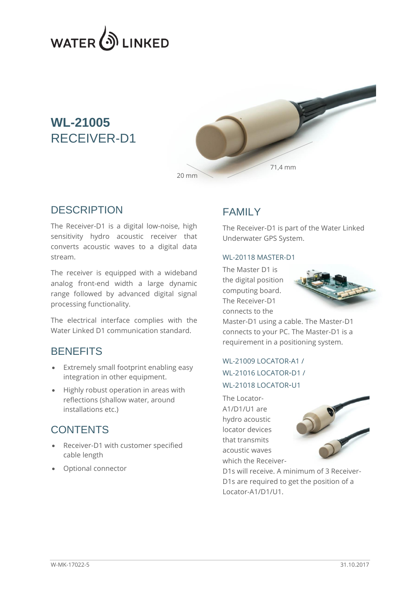

## **WL-21005** RECEIVER-D1



#### **DESCRIPTION**

The Receiver-D1 is a digital low-noise, high sensitivity hydro acoustic receiver that converts acoustic waves to a digital data stream.

The receiver is equipped with a wideband analog front-end width a large dynamic range followed by advanced digital signal processing functionality.

The electrical interface complies with the Water Linked D1 communication standard.

#### **BENEFITS**

- Extremely small footprint enabling easy integration in other equipment.
- Highly robust operation in areas with reflections (shallow water, around installations etc.)

#### **CONTENTS**

- Receiver-D1 with customer specified cable length
- Optional connector

#### FAMILY

The Receiver-D1 is part of the Water Linked Underwater GPS System.

#### WL-20118 MASTER-D1

The Master D1 is the digital position computing board. The Receiver-D1 connects to the



Master-D1 using a cable. The Master-D1 connects to your PC. The Master-D1 is a requirement in a positioning system.

#### WL-21009 LOCATOR-A1 / WL-21016 LOCATOR-D1 / WL-21018 LOCATOR-U1

The Locator-A1/D1/U1 are hydro acoustic locator devices that transmits acoustic waves which the Receiver-



D1s will receive. A minimum of 3 Receiver-D1s are required to get the position of a Locator-A1/D1/U1.